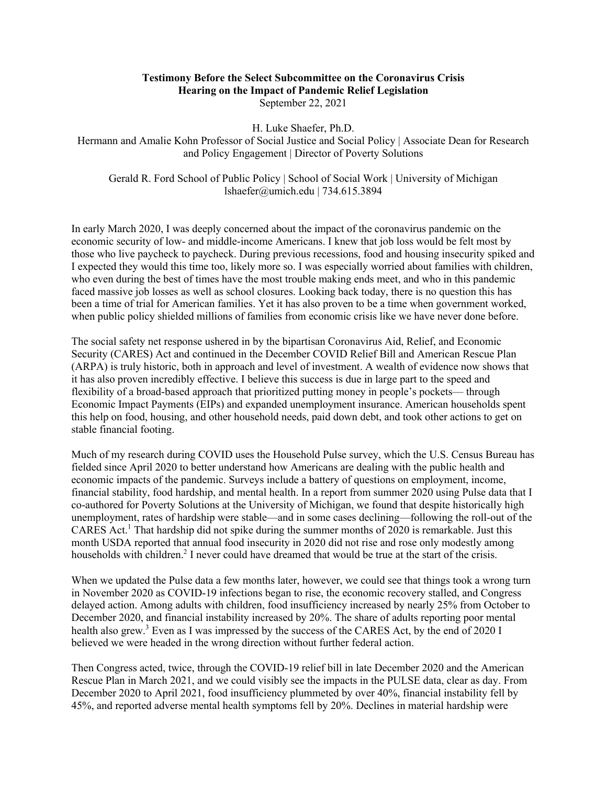## **Testimony Before the Select Subcommittee on the Coronavirus Crisis Hearing on the Impact of Pandemic Relief Legislation** September 22, 2021

H. Luke Shaefer, Ph.D.

Hermann and Amalie Kohn Professor of Social Justice and Social Policy | Associate Dean for Research and Policy Engagement | Director of Poverty Solutions

Gerald R. Ford School of Public Policy | School of Social Work | University of Michigan lshaefer@umich.edu | 734.615.3894

In early March 2020, I was deeply concerned about the impact of the coronavirus pandemic on the economic security of low- and middle-income Americans. I knew that job loss would be felt most by those who live paycheck to paycheck. During previous recessions, food and housing insecurity spiked and I expected they would this time too, likely more so. I was especially worried about families with children, who even during the best of times have the most trouble making ends meet, and who in this pandemic faced massive job losses as well as school closures. Looking back today, there is no question this has been a time of trial for American families. Yet it has also proven to be a time when government worked, when public policy shielded millions of families from economic crisis like we have never done before.

The social safety net response ushered in by the bipartisan Coronavirus Aid, Relief, and Economic Security (CARES) Act and continued in the December COVID Relief Bill and American Rescue Plan (ARPA) is truly historic, both in approach and level of investment. A wealth of evidence now shows that it has also proven incredibly effective. I believe this success is due in large part to the speed and flexibility of a broad-based approach that prioritized putting money in people's pockets— through Economic Impact Payments (EIPs) and expanded unemployment insurance. American households spent this help on food, housing, and other household needs, paid down debt, and took other actions to get on stable financial footing.

Much of my research during COVID uses the Household Pulse survey, which the U.S. Census Bureau has fielded since April 2020 to better understand how Americans are dealing with the public health and economic impacts of the pandemic. Surveys include a battery of questions on employment, income, financial stability, food hardship, and mental health. In a report from summer 2020 using Pulse data that I co-authored for Poverty Solutions at the University of Michigan, we found that despite historically high unemployment, rates of hardship were stable—and in some cases declining—following the roll-out of the CARES Act. <sup>1</sup> That hardship did not spike during the summer months of 2020 is remarkable. Just this month USDA reported that annual food insecurity in 2020 did not rise and rose only modestly among households with children.<sup>2</sup> I never could have dreamed that would be true at the start of the crisis.

When we updated the Pulse data a few months later, however, we could see that things took a wrong turn in November 2020 as COVID-19 infections began to rise, the economic recovery stalled, and Congress delayed action. Among adults with children, food insufficiency increased by nearly 25% from October to December 2020, and financial instability increased by 20%. The share of adults reporting poor mental health also grew.<sup>3</sup> Even as I was impressed by the success of the CARES Act, by the end of 2020 I believed we were headed in the wrong direction without further federal action.

Then Congress acted, twice, through the COVID-19 relief bill in late December 2020 and the American Rescue Plan in March 2021, and we could visibly see the impacts in the PULSE data, clear as day. From December 2020 to April 2021, food insufficiency plummeted by over 40%, financial instability fell by 45%, and reported adverse mental health symptoms fell by 20%. Declines in material hardship were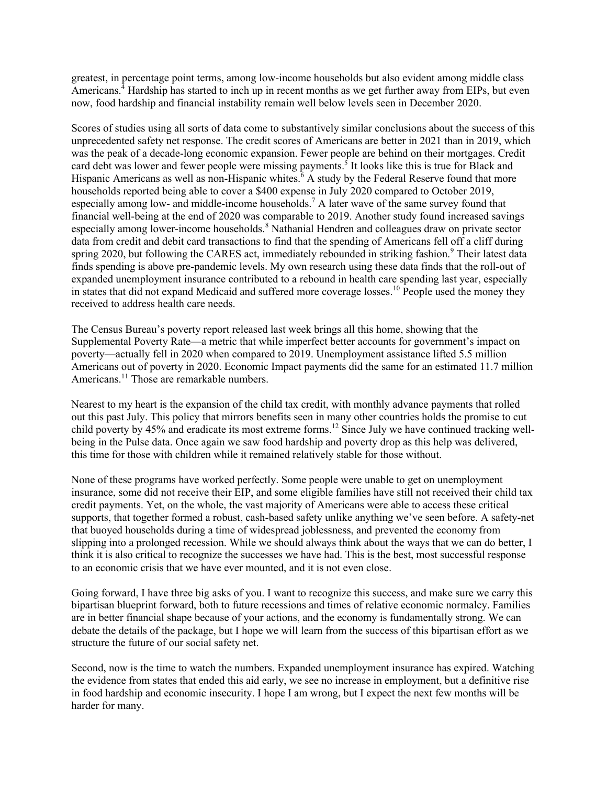greatest, in percentage point terms, among low-income households but also evident among middle class Americans.<sup>4</sup> Hardship has started to inch up in recent months as we get further away from EIPs, but even now, food hardship and financial instability remain well below levels seen in December 2020.

Scores of studies using all sorts of data come to substantively similar conclusions about the success of this unprecedented safety net response. The credit scores of Americans are better in 2021 than in 2019, which was the peak of a decade-long economic expansion. Fewer people are behind on their mortgages. Credit card debt was lower and fewer people were missing payments.<sup>5</sup> It looks like this is true for Black and Hispanic Americans as well as non-Hispanic whites.<sup>6</sup> A study by the Federal Reserve found that more households reported being able to cover a \$400 expense in July 2020 compared to October 2019, especially among low- and middle-income households.<sup>7</sup> A later wave of the same survey found that financial well-being at the end of 2020 was comparable to 2019. Another study found increased savings especially among lower-income households.<sup>8</sup> Nathanial Hendren and colleagues draw on private sector data from credit and debit card transactions to find that the spending of Americans fell off a cliff during spring 2020, but following the CARES act, immediately rebounded in striking fashion.<sup>9</sup> Their latest data finds spending is above pre-pandemic levels. My own research using these data finds that the roll-out of expanded unemployment insurance contributed to a rebound in health care spending last year, especially in states that did not expand Medicaid and suffered more coverage losses.<sup>10</sup> People used the money they received to address health care needs.

The Census Bureau's poverty report released last week brings all this home, showing that the Supplemental Poverty Rate—a metric that while imperfect better accounts for government's impact on poverty—actually fell in 2020 when compared to 2019. Unemployment assistance lifted 5.5 million Americans out of poverty in 2020. Economic Impact payments did the same for an estimated 11.7 million Americans.<sup>11</sup> Those are remarkable numbers.

Nearest to my heart is the expansion of the child tax credit, with monthly advance payments that rolled out this past July. This policy that mirrors benefits seen in many other countries holds the promise to cut child poverty by 45% and eradicate its most extreme forms.<sup>12</sup> Since July we have continued tracking wellbeing in the Pulse data. Once again we saw food hardship and poverty drop as this help was delivered, this time for those with children while it remained relatively stable for those without.

None of these programs have worked perfectly. Some people were unable to get on unemployment insurance, some did not receive their EIP, and some eligible families have still not received their child tax credit payments. Yet, on the whole, the vast majority of Americans were able to access these critical supports, that together formed a robust, cash-based safety unlike anything we've seen before. A safety-net that buoyed households during a time of widespread joblessness, and prevented the economy from slipping into a prolonged recession. While we should always think about the ways that we can do better, I think it is also critical to recognize the successes we have had. This is the best, most successful response to an economic crisis that we have ever mounted, and it is not even close.

Going forward, I have three big asks of you. I want to recognize this success, and make sure we carry this bipartisan blueprint forward, both to future recessions and times of relative economic normalcy. Families are in better financial shape because of your actions, and the economy is fundamentally strong. We can debate the details of the package, but I hope we will learn from the success of this bipartisan effort as we structure the future of our social safety net.

Second, now is the time to watch the numbers. Expanded unemployment insurance has expired. Watching the evidence from states that ended this aid early, we see no increase in employment, but a definitive rise in food hardship and economic insecurity. I hope I am wrong, but I expect the next few months will be harder for many.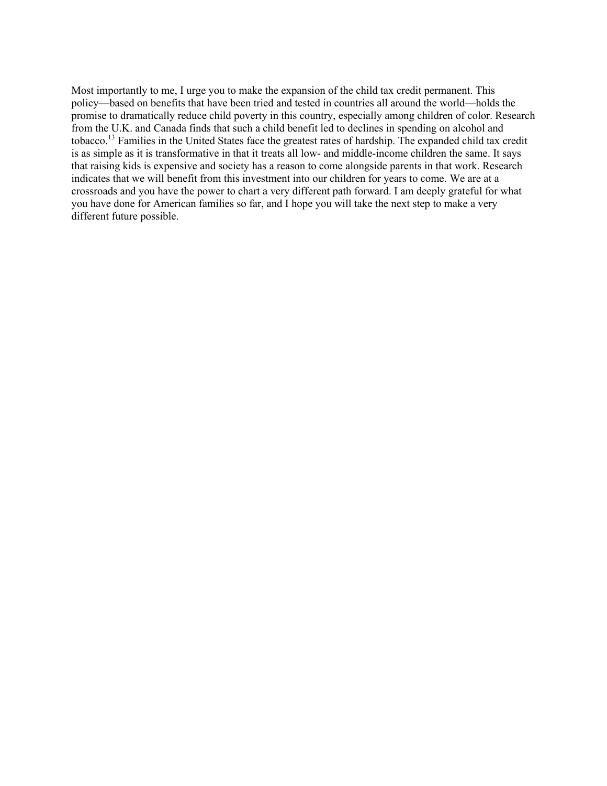Most importantly to me, I urge you to make the expansion of the child tax credit permanent. This policy—based on benefits that have been tried and tested in countries all around the world—holds the promise to dramatically reduce child poverty in this country, especially among children of color. Research from the U.K. and Canada finds that such a child benefit led to declines in spending on alcohol and tobacco.<sup>13</sup> Families in the United States face the greatest rates of hardship. The expanded child tax credit is as simple as it is transformative in that it treats all low- and middle-income children the same. It says that raising kids is expensive and society has a reason to come alongside parents in that work. Research indicates that we will benefit from this investment into our children for years to come. We are at a crossroads and you have the power to chart a very different path forward. I am deeply grateful for what you have done for American families so far, and I hope you will take the next step to make a very different future possible.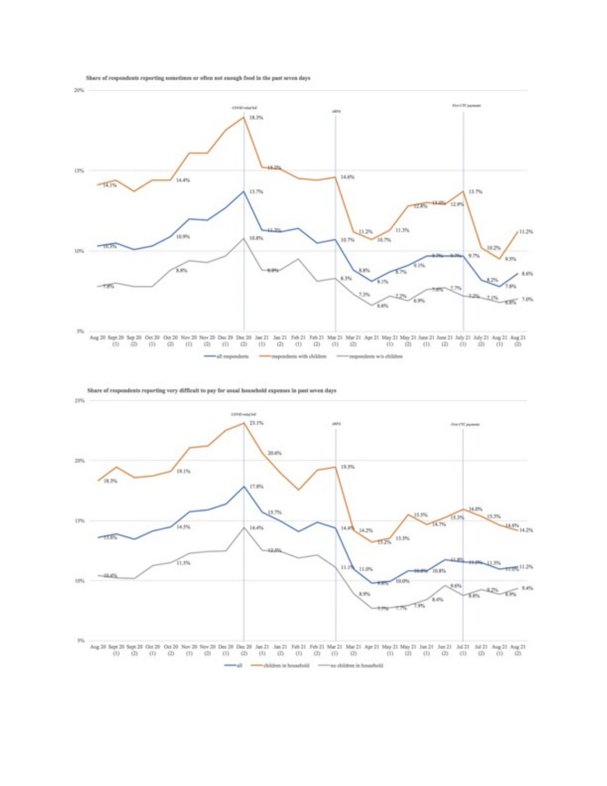Share of respondents reporting sometimes or often not enough food in the past seven days



 $\longrightarrow$ all respondents 

Share of respondents reporting very difficult to pay for usual household expenses in past seven days



all des in household www.packlabor in household